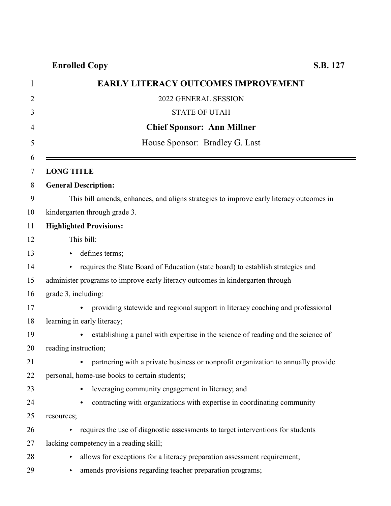| 1  | EARLY LITERACY OUTCOMES IMPROVEMENT                                                           |
|----|-----------------------------------------------------------------------------------------------|
| 2  | 2022 GENERAL SESSION                                                                          |
| 3  | <b>STATE OF UTAH</b>                                                                          |
| 4  | <b>Chief Sponsor: Ann Millner</b>                                                             |
| 5  | House Sponsor: Bradley G. Last                                                                |
| 6  |                                                                                               |
| 7  | <b>LONG TITLE</b>                                                                             |
| 8  | <b>General Description:</b>                                                                   |
| 9  | This bill amends, enhances, and aligns strategies to improve early literacy outcomes in       |
| 10 | kindergarten through grade 3.                                                                 |
| 11 | <b>Highlighted Provisions:</b>                                                                |
| 12 | This bill:                                                                                    |
| 13 | defines terms;                                                                                |
| 14 | requires the State Board of Education (state board) to establish strategies and               |
| 15 | administer programs to improve early literacy outcomes in kindergarten through                |
| 16 | grade 3, including:                                                                           |
| 17 | providing statewide and regional support in literacy coaching and professional                |
| 18 | learning in early literacy;                                                                   |
| 19 | establishing a panel with expertise in the science of reading and the science of<br>$\bullet$ |
| 20 | reading instruction;                                                                          |
| 21 | partnering with a private business or nonprofit organization to annually provide              |
| 22 | personal, home-use books to certain students;                                                 |
| 23 | leveraging community engagement in literacy; and<br>$\bullet$                                 |
| 24 | contracting with organizations with expertise in coordinating community<br>$\bullet$          |
| 25 | resources;                                                                                    |

- $26$  equires the use of diagnostic assessments to target interventions for students 27 lacking competency in a reading skill;
- 
- 28 ellows for exceptions for a literacy preparation assessment requirement;
- 29 < amends provisions regarding teacher preparation programs;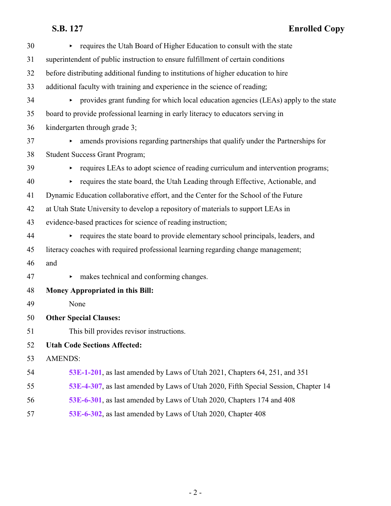| 30 | requires the Utah Board of Higher Education to consult with the state                                   |
|----|---------------------------------------------------------------------------------------------------------|
| 31 | superintendent of public instruction to ensure fulfillment of certain conditions                        |
| 32 | before distributing additional funding to institutions of higher education to hire                      |
| 33 | additional faculty with training and experience in the science of reading;                              |
| 34 | provides grant funding for which local education agencies (LEAs) apply to the state                     |
| 35 | board to provide professional learning in early literacy to educators serving in                        |
| 36 | kindergarten through grade 3;                                                                           |
| 37 | amends provisions regarding partnerships that qualify under the Partnerships for                        |
| 38 | <b>Student Success Grant Program;</b>                                                                   |
| 39 | requires LEAs to adopt science of reading curriculum and intervention programs;<br>Þ.                   |
| 40 | requires the state board, the Utah Leading through Effective, Actionable, and<br>Þ.                     |
| 41 | Dynamic Education collaborative effort, and the Center for the School of the Future                     |
| 42 | at Utah State University to develop a repository of materials to support LEAs in                        |
| 43 | evidence-based practices for science of reading instruction;                                            |
| 44 | requires the state board to provide elementary school principals, leaders, and<br>$\blacktriangleright$ |
| 45 | literacy coaches with required professional learning regarding change management;                       |
| 46 | and                                                                                                     |
| 47 | makes technical and conforming changes.                                                                 |
| 48 | Money Appropriated in this Bill:                                                                        |
| 49 | None                                                                                                    |
| 50 | <b>Other Special Clauses:</b>                                                                           |
| 51 | This bill provides revisor instructions.                                                                |
| 52 | <b>Utah Code Sections Affected:</b>                                                                     |
| 53 | <b>AMENDS:</b>                                                                                          |
| 54 | 53E-1-201, as last amended by Laws of Utah 2021, Chapters 64, 251, and 351                              |
| 55 | 53E-4-307, as last amended by Laws of Utah 2020, Fifth Special Session, Chapter 14                      |
| 56 | 53E-6-301, as last amended by Laws of Utah 2020, Chapters 174 and 408                                   |
| 57 | 53E-6-302, as last amended by Laws of Utah 2020, Chapter 408                                            |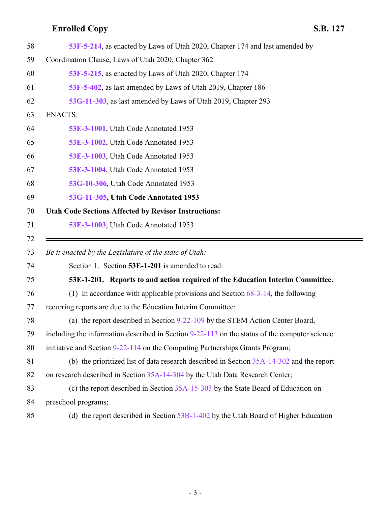<span id="page-2-0"></span>E

| 58 | 53F-5-214, as enacted by Laws of Utah 2020, Chapter 174 and last amended by                     |
|----|-------------------------------------------------------------------------------------------------|
| 59 | Coordination Clause, Laws of Utah 2020, Chapter 362                                             |
| 60 | 53F-5-215, as enacted by Laws of Utah 2020, Chapter 174                                         |
| 61 | 53F-5-402, as last amended by Laws of Utah 2019, Chapter 186                                    |
| 62 | 53G-11-303, as last amended by Laws of Utah 2019, Chapter 293                                   |
| 63 | <b>ENACTS:</b>                                                                                  |
| 64 | 53E-3-1001, Utah Code Annotated 1953                                                            |
| 65 | 53E-3-1002, Utah Code Annotated 1953                                                            |
| 66 | 53E-3-1003, Utah Code Annotated 1953                                                            |
| 67 | 53E-3-1004, Utah Code Annotated 1953                                                            |
| 68 | 53G-10-306, Utah Code Annotated 1953                                                            |
| 69 | 53G-11-305, Utah Code Annotated 1953                                                            |
| 70 | <b>Utah Code Sections Affected by Revisor Instructions:</b>                                     |
| 71 | 53E-3-1003, Utah Code Annotated 1953                                                            |
| 72 |                                                                                                 |
| 73 | Be it enacted by the Legislature of the state of Utah:                                          |
| 74 |                                                                                                 |
| 75 | Section 1. Section 53E-1-201 is amended to read:                                                |
|    | 53E-1-201. Reports to and action required of the Education Interim Committee.                   |
| 76 | (1) In accordance with applicable provisions and Section $68-3-14$ , the following              |
| 77 | recurring reports are due to the Education Interim Committee:                                   |
| 78 | (a) the report described in Section 9-22-109 by the STEM Action Center Board,                   |
| 79 | including the information described in Section $9-22-113$ on the status of the computer science |
| 80 | initiative and Section 9-22-114 on the Computing Partnerships Grants Program;                   |
| 81 | (b) the prioritized list of data research described in Section $35A-14-302$ and the report      |
| 82 | on research described in Section 35A-14-304 by the Utah Data Research Center;                   |
| 83 | (c) the report described in Section $35A-15-303$ by the State Board of Education on             |
| 84 | preschool programs;                                                                             |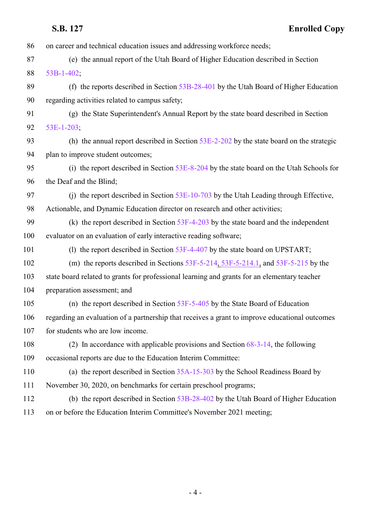| 86  | on career and technical education issues and addressing workforce needs;                       |
|-----|------------------------------------------------------------------------------------------------|
| 87  | (e) the annual report of the Utah Board of Higher Education described in Section               |
| 88  | $53B-1-402$ ;                                                                                  |
| 89  | (f) the reports described in Section $53B-28-401$ by the Utah Board of Higher Education        |
| 90  | regarding activities related to campus safety;                                                 |
| 91  | (g) the State Superintendent's Annual Report by the state board described in Section           |
| 92  | $53E-1-203$ ;                                                                                  |
| 93  | (h) the annual report described in Section $53E-2-202$ by the state board on the strategic     |
| 94  | plan to improve student outcomes;                                                              |
| 95  | (i) the report described in Section 53E-8-204 by the state board on the Utah Schools for       |
| 96  | the Deaf and the Blind;                                                                        |
| 97  | (i) the report described in Section $53E-10-703$ by the Utah Leading through Effective,        |
| 98  | Actionable, and Dynamic Education director on research and other activities;                   |
| 99  | (k) the report described in Section $53F-4-203$ by the state board and the independent         |
| 100 | evaluator on an evaluation of early interactive reading software;                              |
| 101 | (1) the report described in Section 53F-4-407 by the state board on UPSTART;                   |
| 102 | (m) the reports described in Sections $53F-5-214$ , $53F-5-214$ . and $53F-5-215$ by the       |
| 103 | state board related to grants for professional learning and grants for an elementary teacher   |
| 104 | preparation assessment; and                                                                    |
| 105 | (n) the report described in Section $53F-5-405$ by the State Board of Education                |
| 106 | regarding an evaluation of a partnership that receives a grant to improve educational outcomes |
| 107 | for students who are low income.                                                               |
| 108 | (2) In accordance with applicable provisions and Section $68-3-14$ , the following             |
| 109 | occasional reports are due to the Education Interim Committee:                                 |
| 110 | (a) the report described in Section 35A-15-303 by the School Readiness Board by                |
| 111 | November 30, 2020, on benchmarks for certain preschool programs;                               |
| 112 | (b) the report described in Section 53B-28-402 by the Utah Board of Higher Education           |
| 113 | on or before the Education Interim Committee's November 2021 meeting;                          |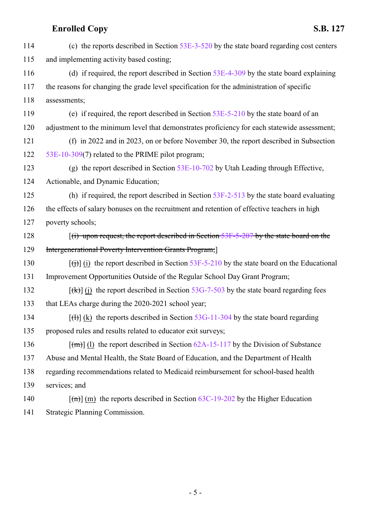| 114 | (c) the reports described in Section $53E-3-520$ by the state board regarding cost centers                           |
|-----|----------------------------------------------------------------------------------------------------------------------|
| 115 | and implementing activity based costing;                                                                             |
| 116 | (d) if required, the report described in Section $53E-4-309$ by the state board explaining                           |
| 117 | the reasons for changing the grade level specification for the administration of specific                            |
| 118 | assessments;                                                                                                         |
| 119 | (e) if required, the report described in Section $53E-5-210$ by the state board of an                                |
| 120 | adjustment to the minimum level that demonstrates proficiency for each statewide assessment;                         |
| 121 | (f) in 2022 and in 2023, on or before November 30, the report described in Subsection                                |
| 122 | 53E-10-309(7) related to the PRIME pilot program;                                                                    |
| 123 | (g) the report described in Section $53E-10-702$ by Utah Leading through Effective,                                  |
| 124 | Actionable, and Dynamic Education;                                                                                   |
| 125 | (h) if required, the report described in Section $53F-2-513$ by the state board evaluating                           |
| 126 | the effects of salary bonuses on the recruitment and retention of effective teachers in high                         |
| 127 | poverty schools;                                                                                                     |
| 128 | $f(i)$ upon request, the report described in Section 53F-5-207 by the state board on the                             |
| 129 | <b>Intergenerational Poverty Intervention Grants Program;</b>                                                        |
| 130 | $\left[\frac{f(t)}{f(t)}\right]$ (i) the report described in Section 53F-5-210 by the state board on the Educational |
| 131 | Improvement Opportunities Outside of the Regular School Day Grant Program;                                           |
| 132 | $[f(x)]$ (j) the report described in Section 53G-7-503 by the state board regarding fees                             |
| 133 | that LEAs charge during the 2020-2021 school year;                                                                   |
| 134 | $[f(t)]$ (k) the reports described in Section 53G-11-304 by the state board regarding                                |
| 135 | proposed rules and results related to educator exit surveys;                                                         |
| 136 | $\lceil (m) \rceil$ (1) the report described in Section 62A-15-117 by the Division of Substance                      |
| 137 | Abuse and Mental Health, the State Board of Education, and the Department of Health                                  |
| 138 | regarding recommendations related to Medicaid reimbursement for school-based health                                  |
| 139 | services; and                                                                                                        |
| 140 | $\lceil (m) \rceil$ (m) the reports described in Section 63C-19-202 by the Higher Education                          |
| 141 | Strategic Planning Commission.                                                                                       |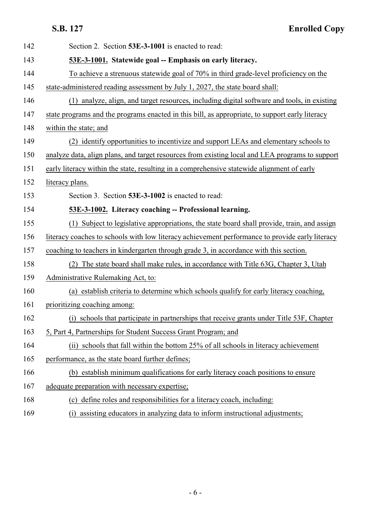<span id="page-5-1"></span><span id="page-5-0"></span>

| 142 | Section 2. Section 53E-3-1001 is enacted to read:                                               |
|-----|-------------------------------------------------------------------------------------------------|
| 143 | 53E-3-1001. Statewide goal -- Emphasis on early literacy.                                       |
| 144 | To achieve a strenuous statewide goal of 70% in third grade-level proficiency on the            |
| 145 | state-administered reading assessment by July 1, 2027, the state board shall:                   |
| 146 | (1) analyze, align, and target resources, including digital software and tools, in existing     |
| 147 | state programs and the programs enacted in this bill, as appropriate, to support early literacy |
| 148 | within the state; and                                                                           |
| 149 | (2) identify opportunities to incentivize and support LEAs and elementary schools to            |
| 150 | analyze data, align plans, and target resources from existing local and LEA programs to support |
| 151 | early literacy within the state, resulting in a comprehensive statewide alignment of early      |
| 152 | literacy plans.                                                                                 |
| 153 | Section 3. Section 53E-3-1002 is enacted to read:                                               |
| 154 | 53E-3-1002. Literacy coaching -- Professional learning.                                         |
| 155 | (1) Subject to legislative appropriations, the state board shall provide, train, and assign     |
| 156 | literacy coaches to schools with low literacy achievement performance to provide early literacy |
| 157 | coaching to teachers in kindergarten through grade 3, in accordance with this section.          |
| 158 | The state board shall make rules, in accordance with Title 63G, Chapter 3, Utah                 |
| 159 | Administrative Rulemaking Act, to:                                                              |
| 160 | (a) establish criteria to determine which schools qualify for early literacy coaching,          |
| 161 | prioritizing coaching among:                                                                    |
| 162 | (i) schools that participate in partnerships that receive grants under Title 53F, Chapter       |
| 163 | 5, Part 4, Partnerships for Student Success Grant Program; and                                  |
| 164 | (ii) schools that fall within the bottom 25% of all schools in literacy achievement             |
| 165 | performance, as the state board further defines;                                                |
| 166 | (b) establish minimum qualifications for early literacy coach positions to ensure               |
| 167 | adequate preparation with necessary expertise;                                                  |
| 168 | (c) define roles and responsibilities for a literacy coach, including:                          |
| 169 | assisting educators in analyzing data to inform instructional adjustments;<br>(i)               |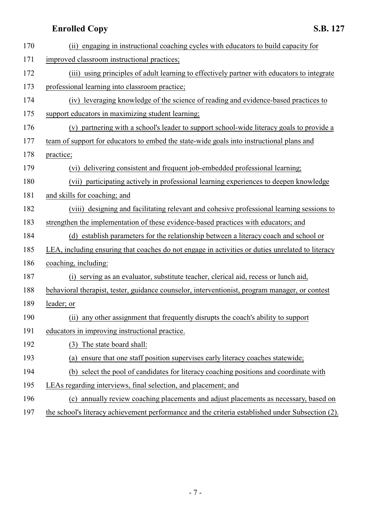| 170 | engaging in instructional coaching cycles with educators to build capacity for<br>(ii)           |
|-----|--------------------------------------------------------------------------------------------------|
| 171 | improved classroom instructional practices;                                                      |
| 172 | (iii) using principles of adult learning to effectively partner with educators to integrate      |
| 173 | professional learning into classroom practice;                                                   |
| 174 | (iv) leveraging knowledge of the science of reading and evidence-based practices to              |
| 175 | support educators in maximizing student learning;                                                |
| 176 | (v) partnering with a school's leader to support school-wide literacy goals to provide a         |
| 177 | team of support for educators to embed the state-wide goals into instructional plans and         |
| 178 | practice;                                                                                        |
| 179 | delivering consistent and frequent job-embedded professional learning;<br>(vi)                   |
| 180 | (vii) participating actively in professional learning experiences to deepen knowledge            |
| 181 | and skills for coaching; and                                                                     |
| 182 | (viii) designing and facilitating relevant and cohesive professional learning sessions to        |
| 183 | strengthen the implementation of these evidence-based practices with educators; and              |
| 184 | (d) establish parameters for the relationship between a literacy coach and school or             |
| 185 | LEA, including ensuring that coaches do not engage in activities or duties unrelated to literacy |
| 186 | coaching, including:                                                                             |
| 187 | serving as an evaluator, substitute teacher, clerical aid, recess or lunch aid,<br>(i)           |
| 188 | behavioral therapist, tester, guidance counselor, interventionist, program manager, or contest   |
| 189 | leader; or                                                                                       |
| 190 | (ii) any other assignment that frequently disrupts the coach's ability to support                |
| 191 | educators in improving instructional practice.                                                   |
| 192 | The state board shall:<br>(3)                                                                    |
| 193 | ensure that one staff position supervises early literacy coaches statewide;<br>(a)               |
| 194 | (b) select the pool of candidates for literacy coaching positions and coordinate with            |
| 195 | LEAs regarding interviews, final selection, and placement; and                                   |
| 196 | (c) annually review coaching placements and adjust placements as necessary, based on             |

197 the school's literacy achievement performance and the criteria established under Subsection (2).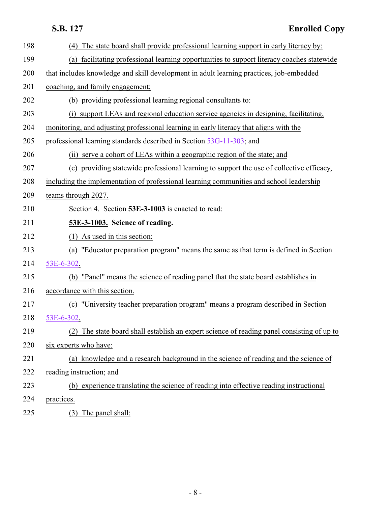<span id="page-7-0"></span>

| 198 | (4) The state board shall provide professional learning support in early literacy by:         |
|-----|-----------------------------------------------------------------------------------------------|
| 199 | facilitating professional learning opportunities to support literacy coaches statewide<br>(a) |
| 200 | that includes knowledge and skill development in adult learning practices, job-embedded       |
| 201 | coaching, and family engagement;                                                              |
| 202 | (b) providing professional learning regional consultants to:                                  |
| 203 | (i) support LEAs and regional education service agencies in designing, facilitating,          |
| 204 | monitoring, and adjusting professional learning in early literacy that aligns with the        |
| 205 | professional learning standards described in Section 53G-11-303; and                          |
| 206 | (ii) serve a cohort of LEAs within a geographic region of the state; and                      |
| 207 | (c) providing statewide professional learning to support the use of collective efficacy,      |
| 208 | including the implementation of professional learning communities and school leadership       |
| 209 | teams through 2027.                                                                           |
| 210 | Section 4. Section 53E-3-1003 is enacted to read:                                             |
| 211 | 53E-3-1003. Science of reading.                                                               |
| 212 | $(1)$ As used in this section:                                                                |
| 213 | (a) "Educator preparation program" means the same as that term is defined in Section          |
| 214 | 53E-6-302.                                                                                    |
| 215 | (b) "Panel" means the science of reading panel that the state board establishes in            |
| 216 | accordance with this section.                                                                 |
| 217 | (c) "University teacher preparation program" means a program described in Section             |
| 218 | 53E-6-302.                                                                                    |
| 219 | (2) The state board shall establish an expert science of reading panel consisting of up to    |
| 220 | six experts who have:                                                                         |
| 221 | (a) knowledge and a research background in the science of reading and the science of          |
| 222 | reading instruction; and                                                                      |
| 223 | (b) experience translating the science of reading into effective reading instructional        |
| 224 | practices.                                                                                    |
| 225 | (3) The panel shall:                                                                          |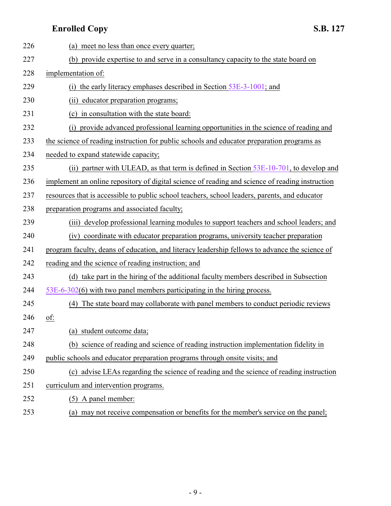| 226 | (a) meet no less than once every quarter;                                                       |
|-----|-------------------------------------------------------------------------------------------------|
| 227 | (b) provide expertise to and serve in a consultancy capacity to the state board on              |
| 228 | implementation of:                                                                              |
| 229 | the early literacy emphases described in Section 53E-3-1001; and<br>(1)                         |
| 230 | educator preparation programs;<br>(i)                                                           |
| 231 | (c) in consultation with the state board:                                                       |
| 232 | provide advanced professional learning opportunities in the science of reading and<br>(i)       |
| 233 | the science of reading instruction for public schools and educator preparation programs as      |
| 234 | needed to expand statewide capacity;                                                            |
| 235 | (ii) partner with ULEAD, as that term is defined in Section $53E-10-701$ , to develop and       |
| 236 | implement an online repository of digital science of reading and science of reading instruction |
| 237 | resources that is accessible to public school teachers, school leaders, parents, and educator   |
| 238 | preparation programs and associated faculty;                                                    |
| 239 | (iii) develop professional learning modules to support teachers and school leaders; and         |
| 240 | (iv) coordinate with educator preparation programs, university teacher preparation              |
| 241 | program faculty, deans of education, and literacy leadership fellows to advance the science of  |
| 242 | reading and the science of reading instruction; and                                             |
| 243 | (d) take part in the hiring of the additional faculty members described in Subsection           |
| 244 | $53E-6-302(6)$ with two panel members participating in the hiring process.                      |
| 245 | The state board may collaborate with panel members to conduct periodic reviews<br>(4)           |
| 246 | of:                                                                                             |
| 247 | student outcome data;<br>(a)                                                                    |
| 248 | (b) science of reading and science of reading instruction implementation fidelity in            |
| 249 | public schools and educator preparation programs through onsite visits; and                     |
| 250 | (c) advise LEAs regarding the science of reading and the science of reading instruction         |
| 251 | curriculum and intervention programs.                                                           |
| 252 | (5) A panel member:                                                                             |

(a) may not receive compensation or benefits for the member's service on the panel;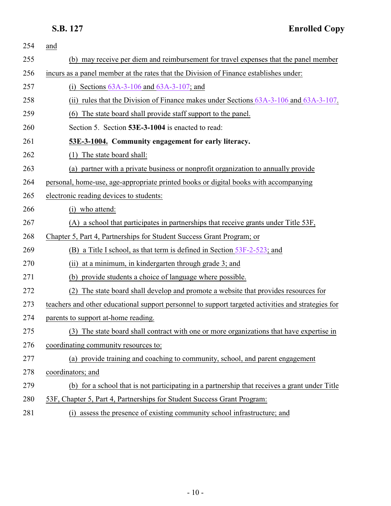<span id="page-9-0"></span>

| 254 | and                                                                                                |
|-----|----------------------------------------------------------------------------------------------------|
| 255 | (b) may receive per diem and reimbursement for travel expenses that the panel member               |
| 256 | incurs as a panel member at the rates that the Division of Finance establishes under:              |
| 257 | (i) Sections $63A-3-106$ and $63A-3-107$ ; and                                                     |
| 258 | (ii) rules that the Division of Finance makes under Sections 63A-3-106 and 63A-3-107.              |
| 259 | (6) The state board shall provide staff support to the panel.                                      |
| 260 | Section 5. Section 53E-3-1004 is enacted to read:                                                  |
| 261 | 53E-3-1004. Community engagement for early literacy.                                               |
| 262 | The state board shall:<br>(1)                                                                      |
| 263 | (a) partner with a private business or nonprofit organization to annually provide                  |
| 264 | personal, home-use, age-appropriate printed books or digital books with accompanying               |
| 265 | electronic reading devices to students:                                                            |
| 266 | (i) who attend:                                                                                    |
| 267 | (A) a school that participates in partnerships that receive grants under Title 53F,                |
| 268 | Chapter 5, Part 4, Partnerships for Student Success Grant Program; or                              |
| 269 | (B) a Title I school, as that term is defined in Section 53F-2-523; and                            |
| 270 | at a minimum, in kindergarten through grade 3; and<br>(ii)                                         |
| 271 | provide students a choice of language where possible.<br>(b)                                       |
| 272 | The state board shall develop and promote a website that provides resources for<br>(2)             |
| 273 | teachers and other educational support personnel to support targeted activities and strategies for |
| 274 | parents to support at-home reading.                                                                |
| 275 | (3) The state board shall contract with one or more organizations that have expertise in           |
| 276 | coordinating community resources to:                                                               |
| 277 | (a) provide training and coaching to community, school, and parent engagement                      |
| 278 | coordinators; and                                                                                  |
| 279 | (b) for a school that is not participating in a partnership that receives a grant under Title      |
| 280 | 53F, Chapter 5, Part 4, Partnerships for Student Success Grant Program:                            |
| 281 | (i) assess the presence of existing community school infrastructure; and                           |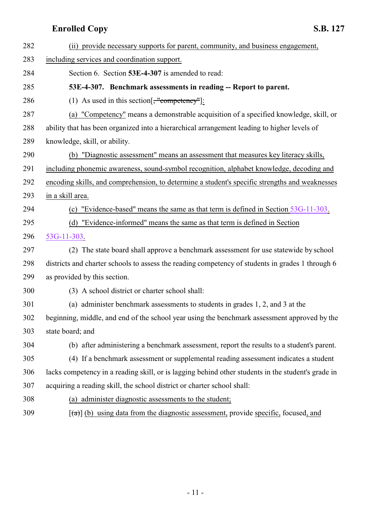<span id="page-10-0"></span>

| 282 | (ii) provide necessary supports for parent, community, and business engagement,                           |
|-----|-----------------------------------------------------------------------------------------------------------|
| 283 | including services and coordination support.                                                              |
| 284 | Section 6. Section 53E-4-307 is amended to read:                                                          |
| 285 | 53E-4-307. Benchmark assessments in reading -- Report to parent.                                          |
| 286 | (1) As used in this section $\left[\frac{1}{2}, \frac{1}{2}, \frac{1}{2}\right]$                          |
| 287 | (a) "Competency" means a demonstrable acquisition of a specified knowledge, skill, or                     |
| 288 | ability that has been organized into a hierarchical arrangement leading to higher levels of               |
| 289 | knowledge, skill, or ability.                                                                             |
| 290 | (b) "Diagnostic assessment" means an assessment that measures key literacy skills,                        |
| 291 | including phonemic awareness, sound-symbol recognition, alphabet knowledge, decoding and                  |
| 292 | encoding skills, and comprehension, to determine a student's specific strengths and weaknesses            |
| 293 | in a skill area.                                                                                          |
| 294 | "Evidence-based" means the same as that term is defined in Section 53G-11-303.<br>(c)                     |
| 295 | (d) "Evidence-informed" means the same as that term is defined in Section                                 |
| 296 | 53G-11-303.                                                                                               |
| 297 | (2) The state board shall approve a benchmark assessment for use statewide by school                      |
| 298 | districts and charter schools to assess the reading competency of students in grades 1 through 6          |
| 299 | as provided by this section.                                                                              |
| 300 | (3) A school district or charter school shall:                                                            |
| 301 | (a) administer benchmark assessments to students in grades 1, 2, and 3 at the                             |
| 302 | beginning, middle, and end of the school year using the benchmark assessment approved by the              |
| 303 | state board; and                                                                                          |
| 304 | (b) after administering a benchmark assessment, report the results to a student's parent.                 |
| 305 | (4) If a benchmark assessment or supplemental reading assessment indicates a student                      |
| 306 | lacks competency in a reading skill, or is lagging behind other students in the student's grade in        |
| 307 | acquiring a reading skill, the school district or charter school shall:                                   |
| 308 | (a) administer diagnostic assessments to the student;                                                     |
| 309 | $[\text{a} \cdot \text{b}]$ (b) using data from the diagnostic assessment, provide specific, focused, and |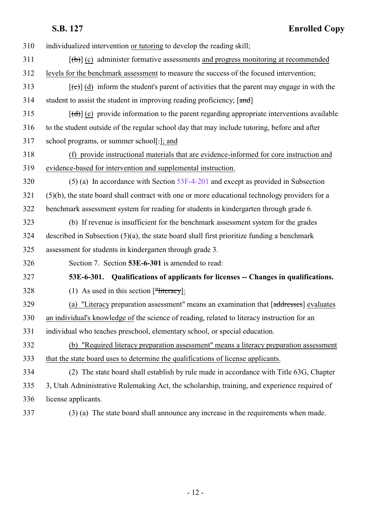| 310 | individualized intervention or tutoring to develop the reading skill;                                     |
|-----|-----------------------------------------------------------------------------------------------------------|
| 311 | $[\phi]$ (c) administer formative assessments and progress monitoring at recommended                      |
| 312 | levels for the benchmark assessment to measure the success of the focused intervention;                   |
| 313 | $[\text{e}^{-}]$ (d) inform the student's parent of activities that the parent may engage in with the     |
| 314 | student to assist the student in improving reading proficiency; [and]                                     |
| 315 | $[\text{(\text{d})}]$ (e) provide information to the parent regarding appropriate interventions available |
| 316 | to the student outside of the regular school day that may include tutoring, before and after              |
| 317 | school programs, or summer school[-]; and                                                                 |
| 318 | (f) provide instructional materials that are evidence-informed for core instruction and                   |
| 319 | evidence-based for intervention and supplemental instruction.                                             |
| 320 | $(5)$ (a) In accordance with Section 53F-4-201 and except as provided in Subsection                       |
| 321 | $(5)(b)$ , the state board shall contract with one or more educational technology providers for a         |
| 322 | benchmark assessment system for reading for students in kindergarten through grade 6.                     |
| 323 | (b) If revenue is insufficient for the benchmark assessment system for the grades                         |
| 324 | described in Subsection $(5)(a)$ , the state board shall first prioritize funding a benchmark             |
| 325 | assessment for students in kindergarten through grade 3.                                                  |
| 326 | Section 7. Section 53E-6-301 is amended to read:                                                          |
| 327 | 53E-6-301. Qualifications of applicants for licenses -- Changes in qualifications.                        |
| 328 | (1) As used in this section $[\frac{1}{2} \text{Heteracy}]$ :                                             |
| 329 | (a) "Literacy preparation assessment" means an examination that $[addresses]$ evaluates                   |
| 330 | an individual's knowledge of the science of reading, related to literacy instruction for an               |
| 331 | individual who teaches preschool, elementary school, or special education.                                |
| 332 | (b) "Required literacy preparation assessment" means a literacy preparation assessment                    |
| 333 | that the state board uses to determine the qualifications of license applicants.                          |
| 334 | (2) The state board shall establish by rule made in accordance with Title 63G, Chapter                    |
| 335 | 3, Utah Administrative Rulemaking Act, the scholarship, training, and experience required of              |
| 336 | license applicants.                                                                                       |
|     |                                                                                                           |

<span id="page-11-0"></span>

(3) (a) The state board shall announce any increase in the requirements when made.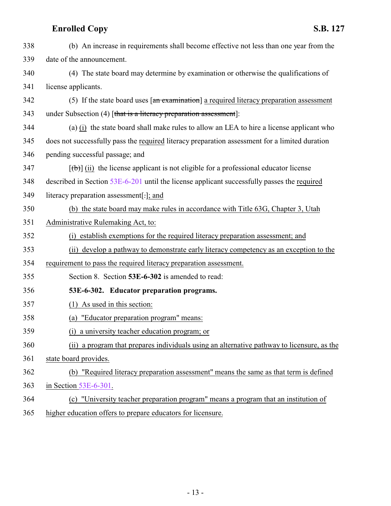<span id="page-12-0"></span>

| 338 | (b) An increase in requirements shall become effective not less than one year from the          |
|-----|-------------------------------------------------------------------------------------------------|
| 339 | date of the announcement.                                                                       |
| 340 | (4) The state board may determine by examination or otherwise the qualifications of             |
| 341 | license applicants.                                                                             |
| 342 | (5) If the state board uses $\lceil$ an examination] a required literacy preparation assessment |
| 343 | under Subsection (4) [that is a literacy preparation assessment]:                               |
| 344 | (a) (i) the state board shall make rules to allow an LEA to hire a license applicant who        |
| 345 | does not successfully pass the required literacy preparation assessment for a limited duration  |
| 346 | pending successful passage; and                                                                 |
| 347 | $[\theta]$ (ii) the license applicant is not eligible for a professional educator license       |
| 348 | described in Section 53E-6-201 until the license applicant successfully passes the required     |
| 349 | literacy preparation assessment[-]; and                                                         |
| 350 | (b) the state board may make rules in accordance with Title 63G, Chapter 3, Utah                |
| 351 | Administrative Rulemaking Act, to:                                                              |
| 352 | (i) establish exemptions for the required literacy preparation assessment; and                  |
| 353 | (ii) develop a pathway to demonstrate early literacy competency as an exception to the          |
| 354 | requirement to pass the required literacy preparation assessment.                               |
| 355 | Section 8. Section 53E-6-302 is amended to read:                                                |
| 356 | 53E-6-302. Educator preparation programs.                                                       |
| 357 | $(1)$ As used in this section:                                                                  |
| 358 | "Educator preparation program" means:<br>(a)                                                    |
| 359 | (i) a university teacher education program; or                                                  |
| 360 | (ii) a program that prepares individuals using an alternative pathway to licensure, as the      |
| 361 | state board provides.                                                                           |
| 362 | (b) "Required literacy preparation assessment" means the same as that term is defined           |
| 363 | in Section $53E-6-301$ .                                                                        |
| 364 | (c) "University teacher preparation program" means a program that an institution of             |
| 365 | higher education offers to prepare educators for licensure.                                     |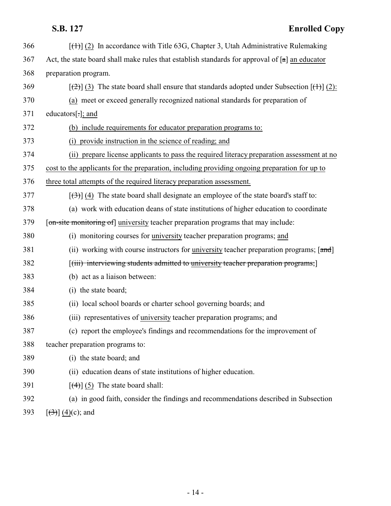| 366 | $[\text{(+)}]$ (2) In accordance with Title 63G, Chapter 3, Utah Administrative Rulemaking                    |
|-----|---------------------------------------------------------------------------------------------------------------|
| 367 | Act, the state board shall make rules that establish standards for approval of $[a]$ an educator              |
| 368 | preparation program.                                                                                          |
| 369 | $[\frac{1}{2}]$ (3) The state board shall ensure that standards adopted under Subsection $[\frac{1}{2}]$ (2): |
| 370 | (a) meet or exceed generally recognized national standards for preparation of                                 |
| 371 | educators $[\cdot]$ ; and                                                                                     |
| 372 | (b) include requirements for educator preparation programs to:                                                |
| 373 | provide instruction in the science of reading; and<br>(i)                                                     |
| 374 | (ii) prepare license applicants to pass the required literacy preparation assessment at no                    |
| 375 | cost to the applicants for the preparation, including providing ongoing preparation for up to                 |
| 376 | three total attempts of the required literacy preparation assessment.                                         |
| 377 | $[\langle 3\rangle]$ (4) The state board shall designate an employee of the state board's staff to:           |
| 378 | (a) work with education deans of state institutions of higher education to coordinate                         |
| 379 | [on-site monitoring of] university teacher preparation programs that may include:                             |
| 380 | (i) monitoring courses for university teacher preparation programs; and                                       |
| 381 | (ii) working with course instructors for university teacher preparation programs; [and]                       |
| 382 | [(iii) interviewing students admitted to university teacher preparation programs;]                            |
| 383 | (b) act as a liaison between:                                                                                 |
| 384 | (i) the state board;                                                                                          |
| 385 | (ii) local school boards or charter school governing boards; and                                              |
| 386 | (iii) representatives of university teacher preparation programs; and                                         |
| 387 | (c) report the employee's findings and recommendations for the improvement of                                 |
| 388 | teacher preparation programs to:                                                                              |
| 389 | (i) the state board; and                                                                                      |
| 390 | (ii) education deans of state institutions of higher education.                                               |
| 391 | $\lceil (4) \rceil$ (5) The state board shall:                                                                |
| 392 | (a) in good faith, consider the findings and recommendations described in Subsection                          |
| 393 | $[\frac{(3)}{(4)}]$ (4)(c); and                                                                               |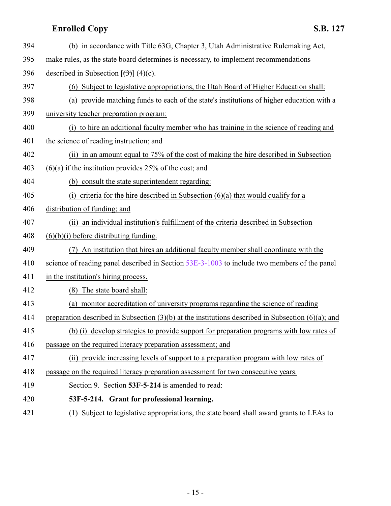<span id="page-14-0"></span>

| 394 | (b) in accordance with Title 63G, Chapter 3, Utah Administrative Rulemaking Act,                        |
|-----|---------------------------------------------------------------------------------------------------------|
| 395 | make rules, as the state board determines is necessary, to implement recommendations                    |
| 396 | described in Subsection $[\left(\frac{1}{2}\right)] (4)(c)$ .                                           |
| 397 | (6) Subject to legislative appropriations, the Utah Board of Higher Education shall:                    |
| 398 | (a) provide matching funds to each of the state's institutions of higher education with a               |
| 399 | university teacher preparation program:                                                                 |
| 400 | (i) to hire an additional faculty member who has training in the science of reading and                 |
| 401 | the science of reading instruction; and                                                                 |
| 402 | (ii) in an amount equal to 75% of the cost of making the hire described in Subsection                   |
| 403 | $(6)(a)$ if the institution provides 25% of the cost; and                                               |
| 404 | (b) consult the state superintendent regarding:                                                         |
| 405 | (i) criteria for the hire described in Subsection $(6)(a)$ that would qualify for a                     |
| 406 | distribution of funding; and                                                                            |
| 407 | (ii) an individual institution's fulfillment of the criteria described in Subsection                    |
| 408 | $(6)(b)(i)$ before distributing funding.                                                                |
| 409 | (7) An institution that hires an additional faculty member shall coordinate with the                    |
| 410 | science of reading panel described in Section $53E-3-1003$ to include two members of the panel          |
| 411 | in the institution's hiring process.                                                                    |
| 412 | (8) The state board shall:                                                                              |
| 413 | (a) monitor accreditation of university programs regarding the science of reading                       |
| 414 | preparation described in Subsection $(3)(b)$ at the institutions described in Subsection $(6)(a)$ ; and |
| 415 | (b) (i) develop strategies to provide support for preparation programs with low rates of                |
| 416 | passage on the required literacy preparation assessment; and                                            |
| 417 | (ii) provide increasing levels of support to a preparation program with low rates of                    |
| 418 | passage on the required literacy preparation assessment for two consecutive years.                      |
| 419 | Section 9. Section 53F-5-214 is amended to read:                                                        |
| 420 | 53F-5-214. Grant for professional learning.                                                             |
| 421 | (1) Subject to legislative appropriations, the state board shall award grants to LEAs to                |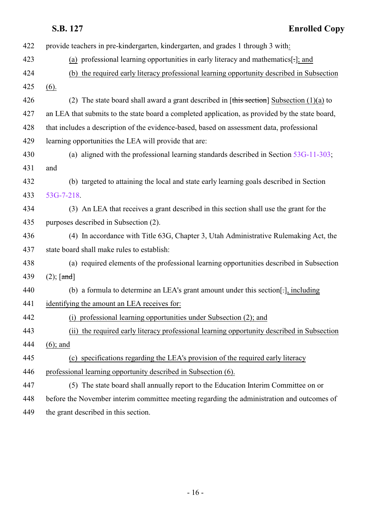|     | <b>Enrolled Copy</b><br>S.B. 127                                                                |
|-----|-------------------------------------------------------------------------------------------------|
| 422 | provide teachers in pre-kindergarten, kindergarten, and grades 1 through 3 with:                |
| 423 | (a) professional learning opportunities in early literacy and mathematics[.]; and               |
| 424 | (b) the required early literacy professional learning opportunity described in Subsection       |
| 425 | (6).                                                                                            |
| 426 | (2) The state board shall award a grant described in [this section] Subsection $(1)(a)$ to      |
| 427 | an LEA that submits to the state board a completed application, as provided by the state board, |
| 428 | that includes a description of the evidence-based, based on assessment data, professional       |
| 429 | learning opportunities the LEA will provide that are:                                           |
| 430 | (a) aligned with the professional learning standards described in Section $53G-11-303$ ;        |
| 431 | and                                                                                             |
| 432 | (b) targeted to attaining the local and state early learning goals described in Section         |
| 433 | 53G-7-218.                                                                                      |
| 434 | (3) An LEA that receives a grant described in this section shall use the grant for the          |
| 435 | purposes described in Subsection (2).                                                           |
| 436 | (4) In accordance with Title 63G, Chapter 3, Utah Administrative Rulemaking Act, the            |
| 437 | state board shall make rules to establish:                                                      |
| 438 | (a) required elements of the professional learning opportunities described in Subsection        |
| 439 | $(2);$ [and]                                                                                    |
| 440 | (b) a formula to determine an LEA's grant amount under this section[-], including               |
| 441 | identifying the amount an LEA receives for:                                                     |
| 442 | professional learning opportunities under Subsection (2); and                                   |
| 443 | the required early literacy professional learning opportunity described in Subsection<br>(ii)   |
| 444 | $(6)$ ; and                                                                                     |
| 445 | (c) specifications regarding the LEA's provision of the required early literacy                 |
| 446 | professional learning opportunity described in Subsection (6).                                  |
| 447 | (5) The state board shall annually report to the Education Interim Committee on or              |
| 448 | before the November interim committee meeting regarding the administration and outcomes of      |
| 449 | the grant described in this section.                                                            |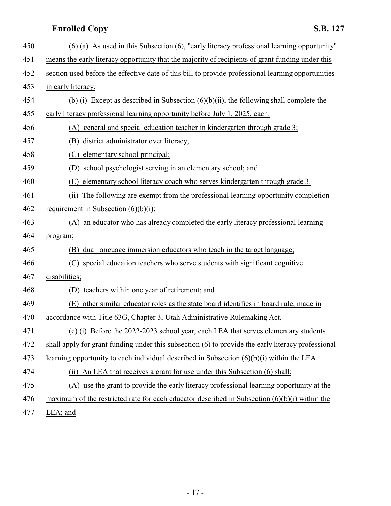| 450 | $(6)$ (a) As used in this Subsection (6), "early literacy professional learning opportunity"       |
|-----|----------------------------------------------------------------------------------------------------|
| 451 | means the early literacy opportunity that the majority of recipients of grant funding under this   |
| 452 | section used before the effective date of this bill to provide professional learning opportunities |
| 453 | in early literacy.                                                                                 |
| 454 | (b) (i) Except as described in Subsection $(6)(b)(ii)$ , the following shall complete the          |
| 455 | early literacy professional learning opportunity before July 1, 2025, each:                        |
| 456 | general and special education teacher in kindergarten through grade 3;<br>(A)                      |
| 457 | district administrator over literacy;<br>(B)                                                       |
| 458 | elementary school principal;<br>(C)                                                                |
| 459 | school psychologist serving in an elementary school; and<br>(D)                                    |
| 460 | elementary school literacy coach who serves kindergarten through grade 3.<br>(E)                   |
| 461 | The following are exempt from the professional learning opportunity completion<br>(ii)             |
| 462 | requirement in Subsection $(6)(b)(i)$ :                                                            |
| 463 | (A) an educator who has already completed the early literacy professional learning                 |
| 464 | program;                                                                                           |
| 465 | dual language immersion educators who teach in the target language;<br>(B)                         |
| 466 | special education teachers who serve students with significant cognitive<br>(C)                    |
| 467 | disabilities;                                                                                      |
| 468 | teachers within one year of retirement; and<br>(D)                                                 |
| 469 | (E)<br>other similar educator roles as the state board identifies in board rule, made in           |
| 470 | accordance with Title 63G, Chapter 3, Utah Administrative Rulemaking Act.                          |
| 471 | (c) (i) Before the $2022$ -2023 school year, each LEA that serves elementary students              |
| 472 | shall apply for grant funding under this subsection (6) to provide the early literacy professional |
| 473 | learning opportunity to each individual described in Subsection $(6)(b)(i)$ within the LEA.        |
| 474 | (ii) An LEA that receives a grant for use under this Subsection (6) shall:                         |
| 475 | use the grant to provide the early literacy professional learning opportunity at the<br>(A)        |
| 476 | maximum of the restricted rate for each educator described in Subsection $(6)(b)(i)$ within the    |
| 477 | LEA; and                                                                                           |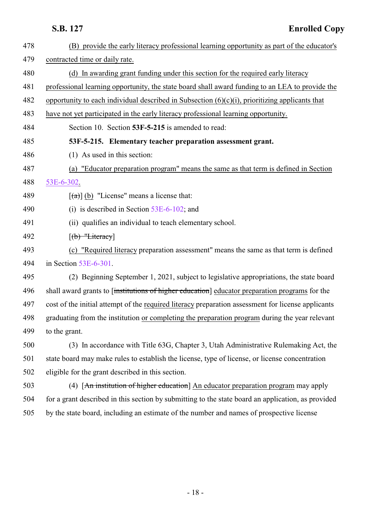<span id="page-17-0"></span>

| 478 | (B) provide the early literacy professional learning opportunity as part of the educator's         |
|-----|----------------------------------------------------------------------------------------------------|
| 479 | contracted time or daily rate.                                                                     |
| 480 | (d) In awarding grant funding under this section for the required early literacy                   |
| 481 | professional learning opportunity, the state board shall award funding to an LEA to provide the    |
| 482 | opportunity to each individual described in Subsection $(6)(c)(i)$ , prioritizing applicants that  |
| 483 | have not yet participated in the early literacy professional learning opportunity.                 |
| 484 | Section 10. Section 53F-5-215 is amended to read:                                                  |
| 485 | 53F-5-215. Elementary teacher preparation assessment grant.                                        |
| 486 | $(1)$ As used in this section:                                                                     |
| 487 | (a) "Educator preparation program" means the same as that term is defined in Section               |
| 488 | 53E-6-302.                                                                                         |
| 489 | $\left[\frac{1}{2}\right]$ (b) "License" means a license that:                                     |
| 490 | (i) is described in Section $53E-6-102$ ; and                                                      |
| 491 | (ii) qualifies an individual to teach elementary school.                                           |
| 492 | $[(b)$ "Literacy]                                                                                  |
| 493 | (c) "Required literacy preparation assessment" means the same as that term is defined              |
| 494 | in Section $53E-6-301$ .                                                                           |
| 495 | (2) Beginning September 1, 2021, subject to legislative appropriations, the state board            |
| 496 | shall award grants to finstitutions of higher education educator preparation programs for the      |
| 497 | cost of the initial attempt of the required literacy preparation assessment for license applicants |
| 498 | graduating from the institution or completing the preparation program during the year relevant     |
| 499 | to the grant.                                                                                      |
| 500 | (3) In accordance with Title 63G, Chapter 3, Utah Administrative Rulemaking Act, the               |
| 501 | state board may make rules to establish the license, type of license, or license concentration     |
| 502 | eligible for the grant described in this section.                                                  |
| 503 | (4) [An institution of higher education] An educator preparation program may apply                 |
| 504 | for a grant described in this section by submitting to the state board an application, as provided |
| 505 | by the state board, including an estimate of the number and names of prospective license           |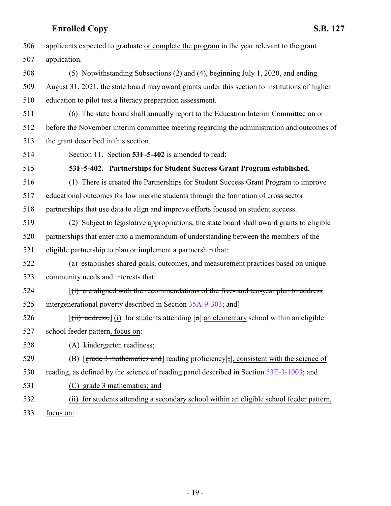<span id="page-18-0"></span>

| 506 | applicants expected to graduate or complete the program in the year relevant to the grant                        |
|-----|------------------------------------------------------------------------------------------------------------------|
| 507 | application.                                                                                                     |
| 508 | (5) Notwithstanding Subsections (2) and (4), beginning July 1, 2020, and ending                                  |
| 509 | August 31, 2021, the state board may award grants under this section to institutions of higher                   |
| 510 | education to pilot test a literacy preparation assessment.                                                       |
| 511 | (6) The state board shall annually report to the Education Interim Committee on or                               |
| 512 | before the November interim committee meeting regarding the administration and outcomes of                       |
| 513 | the grant described in this section.                                                                             |
| 514 | Section 11. Section 53F-5-402 is amended to read:                                                                |
| 515 | 53F-5-402. Partnerships for Student Success Grant Program established.                                           |
| 516 | (1) There is created the Partnerships for Student Success Grant Program to improve                               |
| 517 | educational outcomes for low income students through the formation of cross sector                               |
| 518 | partnerships that use data to align and improve efforts focused on student success.                              |
| 519 | (2) Subject to legislative appropriations, the state board shall award grants to eligible                        |
| 520 | partnerships that enter into a memorandum of understanding between the members of the                            |
| 521 | eligible partnership to plan or implement a partnership that:                                                    |
| 522 | (a) establishes shared goals, outcomes, and measurement practices based on unique                                |
| 523 | community needs and interests that:                                                                              |
| 524 | $(i)$ are aligned with the recommendations of the five- and ten-year plan to address                             |
| 525 | intergenerational poverty described in Section 35A-9-303; and]                                                   |
| 526 | $[\overrightarrow{(ii)} \text{ address}]$ (i) for students attending [a] an elementary school within an eligible |
| 527 | school feeder pattern, focus on:                                                                                 |
| 528 | (A) kindergarten readiness;                                                                                      |
| 529 | (B) [grade 3 mathematics and] reading proficiency[;], consistent with the science of                             |
| 530 | reading, as defined by the science of reading panel described in Section 53E-3-1003; and                         |
| 531 | (C) grade 3 mathematics; and                                                                                     |
| 532 | for students attending a secondary school within an eligible school feeder pattern,<br>(i)                       |
| ح ح |                                                                                                                  |

focus on: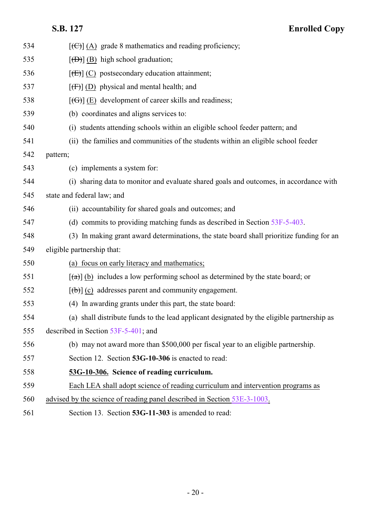<span id="page-19-1"></span><span id="page-19-0"></span>

| 534 | $[\text{ }(\text{ }(\text{ }))$ (A) grade 8 mathematics and reading proficiency;                     |
|-----|------------------------------------------------------------------------------------------------------|
| 535 | $[\langle \overline{D} \rangle]$ (B) high school graduation;                                         |
| 536 | $[\text{E}(\text{E})]$ (C) postsecondary education attainment;                                       |
| 537 | $[f(f)]$ (D) physical and mental health; and                                                         |
| 538 | $[\text{f}\Theta]$ (E) development of career skills and readiness;                                   |
| 539 | (b) coordinates and aligns services to:                                                              |
| 540 | (i) students attending schools within an eligible school feeder pattern; and                         |
| 541 | (ii) the families and communities of the students within an eligible school feeder                   |
| 542 | pattern;                                                                                             |
| 543 | (c) implements a system for:                                                                         |
| 544 | (i) sharing data to monitor and evaluate shared goals and outcomes, in accordance with               |
| 545 | state and federal law; and                                                                           |
| 546 | (ii) accountability for shared goals and outcomes; and                                               |
| 547 | (d) commits to providing matching funds as described in Section $53F-5-403$ .                        |
| 548 | (3) In making grant award determinations, the state board shall prioritize funding for an            |
| 549 | eligible partnership that:                                                                           |
| 550 | (a) focus on early literacy and mathematics;                                                         |
| 551 | $\left[\frac{1}{2}\right]$ (b) includes a low performing school as determined by the state board; or |
| 552 | $[\theta]$ (c) addresses parent and community engagement.                                            |
| 553 | (4) In awarding grants under this part, the state board:                                             |
| 554 | (a) shall distribute funds to the lead applicant designated by the eligible partnership as           |
| 555 | described in Section $53F-5-401$ ; and                                                               |
| 556 | (b) may not award more than \$500,000 per fiscal year to an eligible partnership.                    |
| 557 | Section 12. Section 53G-10-306 is enacted to read:                                                   |
| 558 | 53G-10-306. Science of reading curriculum.                                                           |
| 559 | Each LEA shall adopt science of reading curriculum and intervention programs as                      |
| 560 | advised by the science of reading panel described in Section 53E-3-1003.                             |
| 561 | Section 13. Section 53G-11-303 is amended to read:                                                   |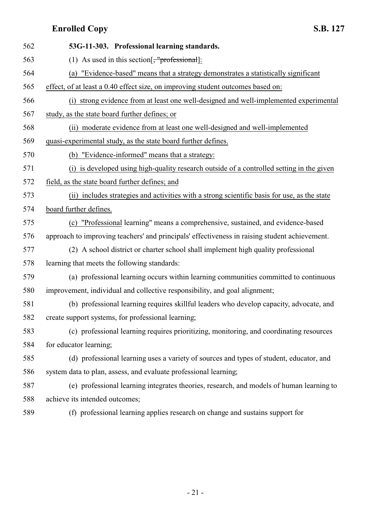| 562 | 53G-11-303. Professional learning standards.                                                  |
|-----|-----------------------------------------------------------------------------------------------|
| 563 | (1) As used in this section $\left[\frac{1}{2}, \frac{1}{2}\right]$                           |
| 564 | "Evidence-based" means that a strategy demonstrates a statistically significant<br>(a)        |
| 565 | effect, of at least a 0.40 effect size, on improving student outcomes based on:               |
| 566 | (i) strong evidence from at least one well-designed and well-implemented experimental         |
| 567 | study, as the state board further defines; or                                                 |
| 568 | (ii) moderate evidence from at least one well-designed and well-implemented                   |
| 569 | quasi-experimental study, as the state board further defines.                                 |
| 570 | (b) "Evidence-informed" means that a strategy:                                                |
| 571 | (i) is developed using high-quality research outside of a controlled setting in the given     |
| 572 | field, as the state board further defines; and                                                |
| 573 | (ii) includes strategies and activities with a strong scientific basis for use, as the state  |
| 574 | board further defines.                                                                        |
| 575 | (c) "Professional learning" means a comprehensive, sustained, and evidence-based              |
| 576 | approach to improving teachers' and principals' effectiveness in raising student achievement. |
| 577 | (2) A school district or charter school shall implement high quality professional             |
| 578 | learning that meets the following standards:                                                  |
| 579 | (a) professional learning occurs within learning communities committed to continuous          |
| 580 | improvement, individual and collective responsibility, and goal alignment;                    |
| 581 | (b) professional learning requires skillful leaders who develop capacity, advocate, and       |
| 582 | create support systems, for professional learning;                                            |
| 583 | (c) professional learning requires prioritizing, monitoring, and coordinating resources       |
| 584 | for educator learning;                                                                        |
| 585 | (d) professional learning uses a variety of sources and types of student, educator, and       |
| 586 | system data to plan, assess, and evaluate professional learning;                              |
| 587 | (e) professional learning integrates theories, research, and models of human learning to      |
| 588 | achieve its intended outcomes;                                                                |
| 589 | (f) professional learning applies research on change and sustains support for                 |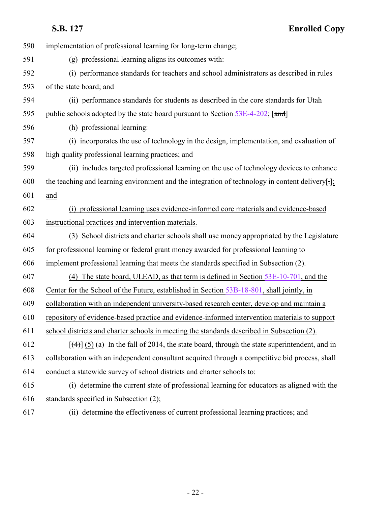| 590 | implementation of professional learning for long-term change;                                          |
|-----|--------------------------------------------------------------------------------------------------------|
| 591 | (g) professional learning aligns its outcomes with:                                                    |
| 592 | (i) performance standards for teachers and school administrators as described in rules                 |
| 593 | of the state board; and                                                                                |
| 594 | (ii) performance standards for students as described in the core standards for Utah                    |
| 595 | public schools adopted by the state board pursuant to Section 53E-4-202; [and]                         |
| 596 | (h) professional learning:                                                                             |
| 597 | (i) incorporates the use of technology in the design, implementation, and evaluation of                |
| 598 | high quality professional learning practices; and                                                      |
| 599 | (ii) includes targeted professional learning on the use of technology devices to enhance               |
| 600 | the teaching and learning environment and the integration of technology in content delivery[:];        |
| 601 | and                                                                                                    |
| 602 | (i) professional learning uses evidence-informed core materials and evidence-based                     |
| 603 | instructional practices and intervention materials.                                                    |
| 604 | (3) School districts and charter schools shall use money appropriated by the Legislature               |
| 605 | for professional learning or federal grant money awarded for professional learning to                  |
| 606 | implement professional learning that meets the standards specified in Subsection (2).                  |
| 607 | (4) The state board, ULEAD, as that term is defined in Section $53E-10-701$ , and the                  |
| 608 | Center for the School of the Future, established in Section 53B-18-801, shall jointly, in              |
| 609 | collaboration with an independent university-based research center, develop and maintain a             |
| 610 | repository of evidence-based practice and evidence-informed intervention materials to support          |
| 611 | school districts and charter schools in meeting the standards described in Subsection (2).             |
| 612 | $[\frac{4}{3}]$ (5) (a) In the fall of 2014, the state board, through the state superintendent, and in |
| 613 | collaboration with an independent consultant acquired through a competitive bid process, shall         |
| 614 | conduct a statewide survey of school districts and charter schools to:                                 |
| 615 | (i) determine the current state of professional learning for educators as aligned with the             |
| 616 | standards specified in Subsection (2);                                                                 |
| 617 | (ii) determine the effectiveness of current professional learning practices; and                       |

- 22 -